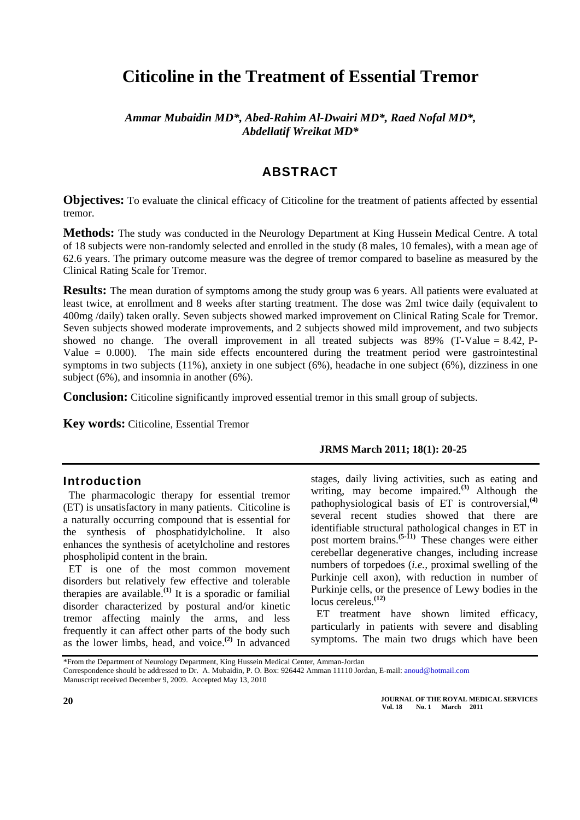# **Citicoline in the Treatment of Essential Tremor**

*Ammar Mubaidin MD\*, Abed-Rahim Al-Dwairi MD\*, Raed Nofal MD\*, Abdellatif Wreikat MD\** 

## ABSTRACT

**Objectives:** To evaluate the clinical efficacy of Citicoline for the treatment of patients affected by essential tremor.

**Methods:** The study was conducted in the Neurology Department at King Hussein Medical Centre. A total of 18 subjects were non-randomly selected and enrolled in the study (8 males, 10 females), with a mean age of 62.6 years. The primary outcome measure was the degree of tremor compared to baseline as measured by the Clinical Rating Scale for Tremor.

**Results:** The mean duration of symptoms among the study group was 6 years. All patients were evaluated at least twice, at enrollment and 8 weeks after starting treatment. The dose was 2ml twice daily (equivalent to 400mg /daily) taken orally. Seven subjects showed marked improvement on Clinical Rating Scale for Tremor. Seven subjects showed moderate improvements, and 2 subjects showed mild improvement, and two subjects showed no change. The overall improvement in all treated subjects was  $89\%$  (T-Value = 8.42, P-Value  $= 0.000$ ). The main side effects encountered during the treatment period were gastrointestinal symptoms in two subjects (11%), anxiety in one subject (6%), headache in one subject (6%), dizziness in one subject (6%), and insomnia in another (6%).

**Conclusion:** Citicoline significantly improved essential tremor in this small group of subjects.

**Key words:** Citicoline, Essential Tremor

#### Introduction

The pharmacologic therapy for essential tremor (ET) is unsatisfactory in many patients. Citicoline is a naturally occurring compound that is essential for the synthesis of phosphatidylcholine. It also enhances the synthesis of acetylcholine and restores phospholipid content in the brain.

ET is one of the most common movement disorders but relatively few effective and tolerable therapies are available.**(1)** It is a sporadic or familial disorder characterized by postural and/or kinetic tremor affecting mainly the arms, and less frequently it can affect other parts of the body such as the lower limbs, head, and voice.**(2)** In advanced

#### **JRMS March 2011; 18(1): 20-25**

stages, daily living activities, such as eating and writing, may become impaired.**(3)** Although the pathophysiological basis of ET is controversial,**[\(4\)](http://neuro.psychiatryonline.org/cgi/content/full/18/1/64#R07006214#R07006214)** several recent studies showed that there are identifiable structural pathological changes in ET in post mortem brains.**([5-11\)](http://neuro.psychiatryonline.org/cgi/content/full/18/1/64#R07006214#R07006214)** These changes were either cerebellar degenerative changes, including increase numbers of torpedoes (*i.e.,* proximal swelling of the Purkinje cell axon), with reduction in number of Purkinje cells, or the presence of Lewy bodies in the locus cereleus.**[\(12](http://neuro.psychiatryonline.org/cgi/content/full/18/1/64#R07006214#R07006214))**

ET treatment have shown limited efficacy, particularly in patients with severe and disabling symptoms. The main two drugs which have been

\*From the Department of Neurology Department, King Hussein Medical Center, Amman-Jordan

**JOURNAL OF THE ROYAL MEDICAL SERVICES Vol. 18 No. 1 March 2011** 

Correspondence should be addressed to Dr. A. Mubaidin, P. O. Box: 926442 Amman 11110 Jordan, E-mail: [anoud@hotmail.com](mailto:anoud@hotmail.com)

Manuscript received December 9, 2009. Accepted May 13, 2010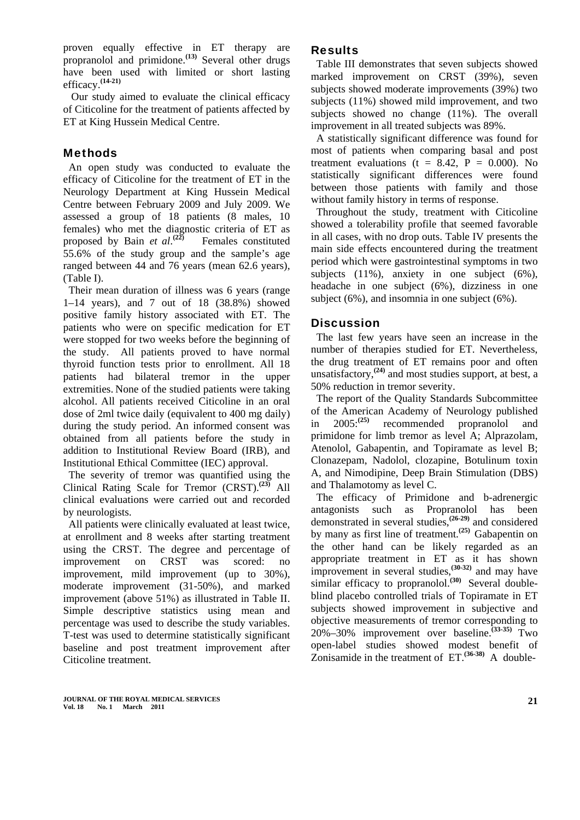proven equally effective in ET therapy are propranolol and primidone.**(13)** Several other drugs have been used with limited or short lasting efficacy.**[\(14-21\)](http://neuro.psychiatryonline.org/cgi/content/full/18/1/64#R07006229#R07006229)**

 Our study aimed to evaluate the clinical efficacy of Citicoline for the treatment of patients affected by ET at King Hussein Medical Centre.

## **Methods**

An open study was conducted to evaluate the efficacy of Citicoline for the treatment of ET in the Neurology Department at King Hussein Medical Centre between February 2009 and July 2009. We assessed a group of 18 patients (8 males, 10 females) who met the diagnostic criteria of ET as proposed by Bain *et al.*<sup>(22)</sup> Females constituted 55.6% of the study group and the sample's age ranged between 44 and 76 years (mean 62.6 years), (Table I).

Their mean duration of illness was 6 years (range 1–14 years), and 7 out of 18 (38.8%) showed positive family history associated with ET. The patients who were on specific medication for ET were stopped for two weeks before the beginning of the study. All patients proved to have normal thyroid function tests prior to enrollment. All 18 patients had bilateral tremor in the upper extremities. None of the studied patients were taking alcohol. All patients received Citicoline in an oral dose of 2ml twice daily (equivalent to 400 mg daily) during the study period. An informed consent was obtained from all patients before the study in addition to Institutional Review Board (IRB), and Institutional Ethical Committee (IEC) approval.

The severity of tremor was quantified using the Clinical Rating Scale for Tremor (CRST).**(23)** All clinical evaluations were carried out and recorded by neurologists.

All patients were clinically evaluated at least twice, at enrollment and 8 weeks after starting treatment using the CRST. The degree and percentage of improvement on CRST was scored: no improvement, mild improvement (up to 30%), moderate improvement (31-50%), and marked improvement (above 51%) as illustrated in Table II. Simple descriptive statistics using mean and percentage was used to describe the study variables. T-test was used to determine statistically significant baseline and post treatment improvement after Citicoline treatment.

## **Results**

Table III demonstrates that seven subjects showed marked improvement on CRST (39%), seven subjects showed moderate improvements (39%) two subjects (11%) showed mild improvement, and two subjects showed no change (11%). The overall improvement in all treated subjects was 89%.

A statistically significant difference was found for most of patients when comparing basal and post treatment evaluations ( $t = 8.42$ ,  $P = 0.000$ ). No statistically significant differences were found between those patients with family and those without family history in terms of response.

Throughout the study, treatment with Citicoline showed a tolerability profile that seemed favorable in all cases, with no drop outs. Table IV presents the main side effects encountered during the treatment period which were gastrointestinal symptoms in two subjects (11%), anxiety in one subject (6%), headache in one subject (6%), dizziness in one subject (6%), and insomnia in one subject (6%).

## **Discussion**

The last few years have seen an increase in the number of therapies studied for ET. Nevertheless, the drug treatment of ET remains poor and often unsatisfactory,**(24)** and most studies support, at best, a 50% reduction in tremor severity.

The report of the Quality Standards Subcommittee of the American Academy of Neurology published<br>in  $2005^{(25)}$  recommended propranolol and in 2005:**(25)** recommended propranolol and primidone for limb tremor as level A; Alprazolam, Atenolol, Gabapentin, and Topiramate as level B; Clonazepam, Nadolol, clozapine, Botulinum toxin A, and Nimodipine, Deep Brain Stimulation (DBS) and Thalamotomy as level C.

The efficacy of Primidone and b-adrenergic antagonists such as Propranolol has been demonstrated in several studies,**([26-29\)](http://neuro.psychiatryonline.org/cgi/content/full/18/1/64#R07006229#R07006229)** and considered by many as first line of treatment.**(25)** Gabapentin on the other hand can be likely regarded as an appropriate treatment in ET as it has shown improvement in several studies,**(30-32)** and may have similar efficacy to propranolol.<sup>(30)</sup> Several doubleblind placebo controlled trials of Topiramate in ET subjects showed improvement in subjective and objective measurements of tremor corresponding to 20%–30% improvement over baseline.**(33-35)** Two open-label studies showed modest benefit of Zonisamide in the treatment of ET.**(36-38)** A double-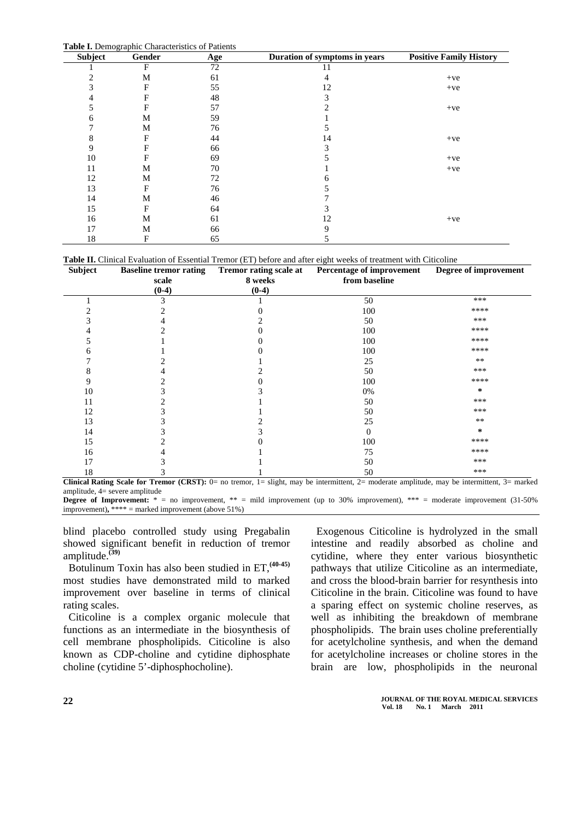**Table I.** Demographic Characteristics of Patients

| $\ldots$<br>Subject | Gender | $S1$ and $S2$ and $S3$ are $S4$ and $S5$ are $S6$ and $S7$ are $S8$ and $S9$ are $S1$ are $S1$ are $S1$ are $S1$ and $S2$ are $S1$<br>Age | Duration of symptoms in years | <b>Positive Family History</b> |  |  |  |
|---------------------|--------|-------------------------------------------------------------------------------------------------------------------------------------------|-------------------------------|--------------------------------|--|--|--|
|                     | F      | 72                                                                                                                                        | 11                            |                                |  |  |  |
| 2                   | M      | 61                                                                                                                                        | 4                             | $+ve$                          |  |  |  |
| 3                   | F      | 55                                                                                                                                        | 12                            | $+ve$                          |  |  |  |
|                     | F      | 48                                                                                                                                        | 3                             |                                |  |  |  |
|                     | F      | 57                                                                                                                                        |                               | $+ve$                          |  |  |  |
| 6                   | M      | 59                                                                                                                                        |                               |                                |  |  |  |
|                     | M      | 76                                                                                                                                        |                               |                                |  |  |  |
| 8                   | F      | 44                                                                                                                                        | 14                            | $+ve$                          |  |  |  |
| 9                   | F      | 66                                                                                                                                        |                               |                                |  |  |  |
| 10                  | F      | 69                                                                                                                                        |                               | $+ve$                          |  |  |  |
| 11                  | M      | 70                                                                                                                                        |                               | $+ve$                          |  |  |  |
| 12                  | M      | 72                                                                                                                                        |                               |                                |  |  |  |
| 13                  | F      | 76                                                                                                                                        |                               |                                |  |  |  |
| 14                  | M      | 46                                                                                                                                        |                               |                                |  |  |  |
| 15                  | F      | 64                                                                                                                                        |                               |                                |  |  |  |
| 16                  | M      | 61                                                                                                                                        | 12                            | $+ve$                          |  |  |  |
| 17                  | M      | 66                                                                                                                                        | 9                             |                                |  |  |  |
| 18                  | F      | 65                                                                                                                                        |                               |                                |  |  |  |

**Table II.** Clinical Evaluation of Essential Tremor (ET) before and after eight weeks of treatment with Citicoline

| Subject | <b>Baseline tremor rating</b> | Tremor rating scale at | Percentage of improvement | Degree of improvement |  |
|---------|-------------------------------|------------------------|---------------------------|-----------------------|--|
|         | scale                         | 8 weeks                | from baseline             |                       |  |
|         | $(0-4)$                       | $(0-4)$                |                           |                       |  |
|         | 3                             |                        | 50                        | ***                   |  |
|         |                               |                        | 100                       | ****                  |  |
|         |                               |                        | 50                        | ***                   |  |
|         |                               |                        | 100                       | ****                  |  |
|         |                               |                        | 100                       | ****                  |  |
|         |                               |                        | 100                       | ****                  |  |
|         |                               |                        | 25                        | $***$                 |  |
|         |                               |                        | 50                        | ***                   |  |
| 9       |                               |                        | 100                       | ****                  |  |
| 10      |                               |                        | 0%                        | *                     |  |
| 11      |                               |                        | 50                        | ***                   |  |
| 12      |                               |                        | 50                        | ***                   |  |
| 13      |                               |                        | 25                        | $**$                  |  |
| 14      |                               |                        | $\Omega$                  | *                     |  |
| 15      |                               |                        | 100                       | ****                  |  |
| 16      |                               |                        | 75                        | ****                  |  |
| 17      |                               |                        | 50                        | ***                   |  |
| 18      |                               |                        | 50                        | ***                   |  |

**Clinical Rating Scale for Tremor (CRST):** 0= no tremor, 1= slight, may be intermittent, 2= moderate amplitude, may be intermittent, 3= marked amplitude, 4= severe amplitude

**Degree of Improvement:**  $* =$  no improvement,  $** =$  mild improvement (up to 30% improvement),  $*** =$  moderate improvement (31-50%) improvement)**,** \*\*\*\* = marked improvement (above 51%)

blind placebo controlled study using Pregabalin showed significant benefit in reduction of tremor amplitude.**(39)**

Botulinum Toxin has also been studied in ET,**(40-45)** most studies have demonstrated mild to marked improvement over baseline in terms of clinical rating scales.

Citicoline is a complex organic molecule that functions as an intermediate in the biosynthesis of cell membrane phospholipids. Citicoline is also known as CDP-choline and cytidine diphosphate choline (cytidine 5'-diphosphocholine).

Exogenous Citicoline is hydrolyzed in the small intestine and readily absorbed as choline and cytidine, where they enter various biosynthetic pathways that utilize Citicoline as an intermediate, and cross the blood-brain barrier for resynthesis into Citicoline in the brain. Citicoline was found to have a sparing effect on systemic choline reserves, as well as inhibiting the breakdown of membrane phospholipids. The brain uses choline preferentially for acetylcholine synthesis, and when the demand for acetylcholine increases or choline stores in the brain are low, phospholipids in the neuronal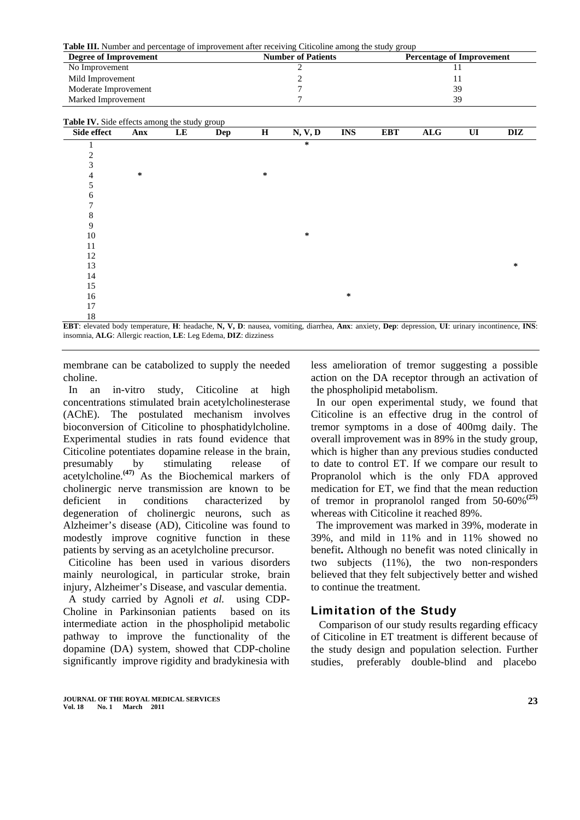**Table III.** Number and percentage of improvement after receiving Citicoline among the study group

| Degree of Improvement | <b>Number of Patients</b> | <b>Percentage of Improvement</b> |
|-----------------------|---------------------------|----------------------------------|
| No Improvement        |                           |                                  |
| Mild Improvement      |                           |                                  |
| Moderate Improvement  |                           | 39                               |
| Marked Improvement    |                           | 39                               |

| Table IV. Side effects among the study group |     |           |     |         |         |            |            |                |                        |     |
|----------------------------------------------|-----|-----------|-----|---------|---------|------------|------------|----------------|------------------------|-----|
| Side effect                                  | Anx | $\bf{LE}$ | Dep | $\bf H$ | N, V, D | <b>INS</b> | <b>EBT</b> | $\mathbf{ALG}$ | $\mathbf{U}\mathbf{I}$ | DIZ |
|                                              |     |           |     |         | ∗       |            |            |                |                        |     |
| 2                                            |     |           |     |         |         |            |            |                |                        |     |
| 3                                            |     |           |     |         |         |            |            |                |                        |     |
| 4                                            | ∗   |           |     | $\ast$  |         |            |            |                |                        |     |
| 5                                            |     |           |     |         |         |            |            |                |                        |     |
| 6                                            |     |           |     |         |         |            |            |                |                        |     |
|                                              |     |           |     |         |         |            |            |                |                        |     |
| 8                                            |     |           |     |         |         |            |            |                |                        |     |
| 9                                            |     |           |     |         |         |            |            |                |                        |     |
| 10                                           |     |           |     |         | $\ast$  |            |            |                |                        |     |
| 11                                           |     |           |     |         |         |            |            |                |                        |     |
| 12                                           |     |           |     |         |         |            |            |                |                        |     |
| 13                                           |     |           |     |         |         |            |            |                |                        | ∗   |
| 14                                           |     |           |     |         |         |            |            |                |                        |     |
| 15                                           |     |           |     |         |         |            |            |                |                        |     |
| 16                                           |     |           |     |         |         | $\ast$     |            |                |                        |     |
| 17                                           |     |           |     |         |         |            |            |                |                        |     |
| 18                                           |     |           |     |         |         |            |            |                |                        |     |

**EBT**: elevated body temperature, **H**: headache, **N, V, D**: nausea, vomiting, diarrhea, **Anx**: anxiety, **Dep**: depression, **UI**: urinary incontinence, **INS**: insomnia, **ALG**: Allergic reaction, **LE**: Leg Edema, **DIZ**: dizziness

membrane can be catabolized to supply the needed choline.

In an in-vitro study, Citicoline at high concentrations stimulated brain acetylcholinesterase (AChE). The postulated mechanism involves bioconversion of Citicoline to phosphatidylcholine. Experimental studies in rats found evidence that Citicoline potentiates dopamine release in the brain, presumably by stimulating release of acetylcholine.**(47)** As the Biochemical markers of cholinergic nerve transmission are known to be deficient in conditions characterized by degeneration of cholinergic neurons, such as Alzheimer's disease (AD), Citicoline was found to modestly improve cognitive function in these patients by serving as an acetylcholine precursor.

Citicoline has been used in various disorders mainly neurological, in particular stroke, brain injury, Alzheimer's Disease, and vascular dementia. A study carried by [Agnoli](http://www.ncbi.nlm.nih.gov/sites/entrez?Db=pubmed&Cmd=Search&Term=%22Agnoli%20A%22%5BAuthor%5D&itool=EntrezSystem2.PEntrez.Pubmed.Pubmed_ResultsPanel.Pubmed_RVAbstract) *et al.* using CDP-Choline in Parkinsonian patients based on its intermediate action in the phospholipid metabolic pathway to improve the functionality of the dopamine (DA) system, showed that CDP-choline significantly improve rigidity and bradykinesia with

less amelioration of tremor suggesting a possible action on the DA receptor through an activation of the phospholipid metabolism.

In our open experimental study, we found that Citicoline is an effective drug in the control of tremor symptoms in a dose of 400mg daily. The overall improvement was in 89% in the study group, which is higher than any previous studies conducted to date to control ET. If we compare our result to Propranolol which is the only FDA approved medication for ET, we find that the mean reduction of tremor in propranolol ranged from 50-60%**(25)** whereas with Citicoline it reached 89%.

The improvement was marked in 39%, moderate in 39%, and mild in 11% and in 11% showed no benefit**.** Although no benefit was noted clinically in two subjects (11%), the two non-responders believed that they felt subjectively better and wished to continue the treatment.

### Limitation of the Study

 Comparison of our study results regarding efficacy of Citicoline in ET treatment is different because of the study design and population selection. Further studies, preferably double-blind and placebo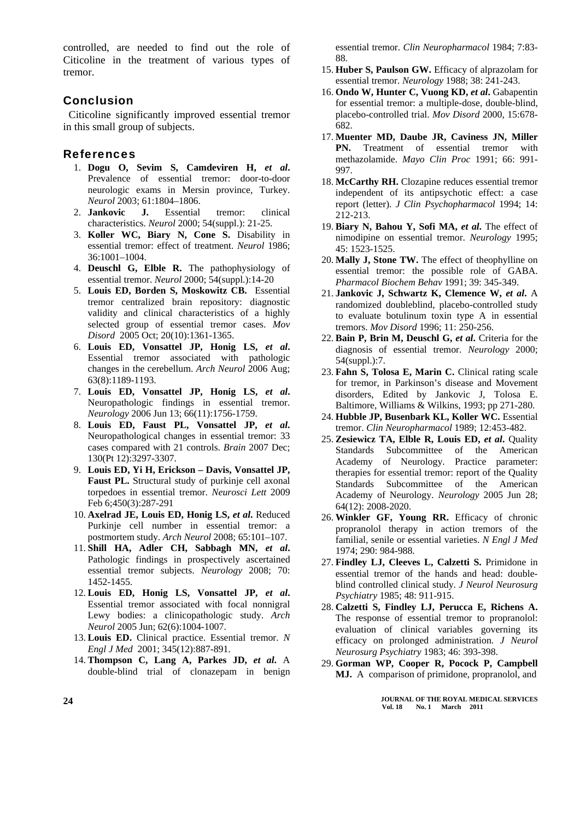controlled, are needed to find out the role of Citicoline in the treatment of various types of tremor.

### Conclusion

Citicoline significantly improved essential tremor in this small group of subjects.

#### References

- 1. **Dogu O, Sevim S, Camdeviren H,** *et al***.** Prevalence of essential tremor: door-to-door neurologic exams in Mersin province, Turkey. *Neurol* 2003; 61:1804–1806.
- 2. **Jankovic J.** Essential tremor: clinical characteristics. *Neurol* 2000; 54(suppl.): 21-25.
- 3. **Koller WC, Biary N, Cone S.** Disability in essential tremor: effect of treatment. *Neurol* 1986; 36:1001–1004.
- 4. **Deuschl G, Elble R.** The pathophysiology of essential tremor. *Neurol* 2000; 54(suppl.):14-20
- 5. **[Louis ED](http://www.ncbi.nlm.nih.gov/sites/entrez?Db=pubmed&Cmd=Search&Term=%22Louis%20ED%22%5BAuthor%5D&itool=EntrezSystem2.PEntrez.Pubmed.Pubmed_ResultsPanel.Pubmed_DiscoveryPanel.Pubmed_RVAbstractPlus), [Borden S,](http://www.ncbi.nlm.nih.gov/sites/entrez?Db=pubmed&Cmd=Search&Term=%22Borden%20S%22%5BAuthor%5D&itool=EntrezSystem2.PEntrez.Pubmed.Pubmed_ResultsPanel.Pubmed_DiscoveryPanel.Pubmed_RVAbstractPlus) [Moskowitz CB](http://www.ncbi.nlm.nih.gov/sites/entrez?Db=pubmed&Cmd=Search&Term=%22Moskowitz%20CB%22%5BAuthor%5D&itool=EntrezSystem2.PEntrez.Pubmed.Pubmed_ResultsPanel.Pubmed_DiscoveryPanel.Pubmed_RVAbstractPlus).** Essential tremor centralized brain repository: diagnostic validity and clinical characteristics of a highly selected group of essential tremor cases. *[Mov](javascript:AL_get(this,%20)  [Disord](javascript:AL_get(this,%20)* 2005 Oct; 20(10):1361-1365.
- 6. **[Louis ED,](http://www.ncbi.nlm.nih.gov/sites/entrez?Db=pubmed&Cmd=Search&Term=%22Louis%20ED%22%5BAuthor%5D&itool=EntrezSystem2.PEntrez.Pubmed.Pubmed_ResultsPanel.Pubmed_DiscoveryPanel.Pubmed_RVAbstractPlus) [Vonsattel JP,](http://www.ncbi.nlm.nih.gov/sites/entrez?Db=pubmed&Cmd=Search&Term=%22Vonsattel%20JP%22%5BAuthor%5D&itool=EntrezSystem2.PEntrez.Pubmed.Pubmed_ResultsPanel.Pubmed_DiscoveryPanel.Pubmed_RVAbstractPlus) [Honig LS](http://www.ncbi.nlm.nih.gov/sites/entrez?Db=pubmed&Cmd=Search&Term=%22Honig%20LS%22%5BAuthor%5D&itool=EntrezSystem2.PEntrez.Pubmed.Pubmed_ResultsPanel.Pubmed_DiscoveryPanel.Pubmed_RVAbstractPlus),** *et al***.** Essential tremor associated with pathologic changes in the cerebellum. *[Arch Neurol](javascript:AL_get(this,%20)* 2006 Aug; 63(8):1189-1193.
- 7. **[Louis ED,](http://www.ncbi.nlm.nih.gov/sites/entrez?Db=pubmed&Cmd=Search&Term=%22Louis%20ED%22%5BAuthor%5D&itool=EntrezSystem2.PEntrez.Pubmed.Pubmed_ResultsPanel.Pubmed_DiscoveryPanel.Pubmed_RVAbstractPlus) [Vonsattel JP,](http://www.ncbi.nlm.nih.gov/sites/entrez?Db=pubmed&Cmd=Search&Term=%22Vonsattel%20JP%22%5BAuthor%5D&itool=EntrezSystem2.PEntrez.Pubmed.Pubmed_ResultsPanel.Pubmed_DiscoveryPanel.Pubmed_RVAbstractPlus) [Honig LS](http://www.ncbi.nlm.nih.gov/sites/entrez?Db=pubmed&Cmd=Search&Term=%22Honig%20LS%22%5BAuthor%5D&itool=EntrezSystem2.PEntrez.Pubmed.Pubmed_ResultsPanel.Pubmed_DiscoveryPanel.Pubmed_RVAbstractPlus),** *et al***.** Neuropathologic findings in essential tremor. *[Neurology](javascript:AL_get(this,%20)* 2006 Jun 13; 66(11):1756-1759.
- 8. **[Louis ED](http://www.ncbi.nlm.nih.gov/sites/entrez?Db=pubmed&Cmd=Search&Term=%22Louis%20ED%22%5BAuthor%5D&itool=EntrezSystem2.PEntrez.Pubmed.Pubmed_ResultsPanel.Pubmed_DiscoveryPanel.Pubmed_RVAbstractPlus), [Faust PL](http://www.ncbi.nlm.nih.gov/sites/entrez?Db=pubmed&Cmd=Search&Term=%22Faust%20PL%22%5BAuthor%5D&itool=EntrezSystem2.PEntrez.Pubmed.Pubmed_ResultsPanel.Pubmed_DiscoveryPanel.Pubmed_RVAbstractPlus), [Vonsattel JP,](http://www.ncbi.nlm.nih.gov/sites/entrez?Db=pubmed&Cmd=Search&Term=%22Vonsattel%20JP%22%5BAuthor%5D&itool=EntrezSystem2.PEntrez.Pubmed.Pubmed_ResultsPanel.Pubmed_DiscoveryPanel.Pubmed_RVAbstractPlus)** *et al***.**  Neuropathological changes in essential tremor: 33 cases compared with 21 controls. *[Brain](javascript:AL_get(this,%20)* 2007 Dec; 130(Pt 12):3297-3307.
- 9. **Louis ED, Yi H, Erickson Davis, Vonsattel JP, Faust PL.** Structural study of purkinje cell axonal torpedoes in essential tremor. *Neurosci Lett* 2009 Feb 6;450(3):287-291
- 10. **Axelrad JE, Louis ED, Honig LS,** *et al***.** Reduced Purkinje cell number in essential tremor: a postmortem study. *Arch Neurol* 2008; 65:101–107.
- 11. **Shill HA, Adler CH, Sabbagh MN,** *et al***.** Pathologic findings in prospectively ascertained essential tremor subjects. *Neurology* 2008; 70: 1452-1455.
- 12. **[Louis ED,](http://www.ncbi.nlm.nih.gov/sites/entrez?Db=pubmed&Cmd=Search&Term=%22Louis%20ED%22%5BAuthor%5D&itool=EntrezSystem2.PEntrez.Pubmed.Pubmed_ResultsPanel.Pubmed_DiscoveryPanel.Pubmed_RVAbstractPlus) [Honig LS](http://www.ncbi.nlm.nih.gov/sites/entrez?Db=pubmed&Cmd=Search&Term=%22Honig%20LS%22%5BAuthor%5D&itool=EntrezSystem2.PEntrez.Pubmed.Pubmed_ResultsPanel.Pubmed_DiscoveryPanel.Pubmed_RVAbstractPlus), [Vonsattel JP](http://www.ncbi.nlm.nih.gov/sites/entrez?Db=pubmed&Cmd=Search&Term=%22Vonsattel%20JP%22%5BAuthor%5D&itool=EntrezSystem2.PEntrez.Pubmed.Pubmed_ResultsPanel.Pubmed_DiscoveryPanel.Pubmed_RVAbstractPlus),** *et al***.** Essential tremor associated with focal nonnigral Lewy bodies: a clinicopathologic study. *[Arch](javascript:AL_get(this,%20)  [Neurol](javascript:AL_get(this,%20)* 2005 Jun; 62(6):1004-1007.
- 13. **Louis ED.** Clinical practice. Essential tremor. *N Engl J Med* 2001; 345(12):887-891.
- 14. **Thompson C, Lang A, Parkes JD,** *et al***.** A double-blind trial of clonazepam in benign

essential tremor. *Clin Neuropharmacol* 1984; 7:83- 88.

- 15. **Huber S, Paulson GW.** Efficacy of alprazolam for essential tremor. *Neurology* 1988; 38: 241-243.
- 16. **Ondo W, Hunter C, Vuong KD,** *et al***.** Gabapentin for essential tremor: a multiple-dose, double-blind, placebo-controlled trial. *Mov Disord* 2000, 15:678- 682.
- 17. **Muenter MD, Daube JR, Caviness JN, Miller PN.** Treatment of essential tremor with methazolamide. *Mayo Clin Proc* 1991; 66: 991- 997.
- 18. **McCarthy RH.** Clozapine reduces essential tremor independent of its antipsychotic effect: a case report (letter). *J Clin Psychopharmacol* 1994; 14: 212-213.
- 19. **Biary N, Bahou Y, Sofi MA,** *et al***.** The effect of nimodipine on essential tremor. *Neurology* 1995; 45: 1523-1525.
- 20. **Mally J, Stone TW.** The effect of theophylline on essential tremor: the possible role of GABA. *Pharmacol Biochem Behav* 1991; 39: 345-349.
- 21. **Jankovic J, Schwartz K, Clemence W,** *et al***.** A randomized doubleblind, placebo-controlled study to evaluate botulinum toxin type A in essential tremors. *Mov Disord* 1996; 11: 250-256.
- 22. **Bain P, Brin M, Deuschl G,** *et al***.** Criteria for the diagnosis of essential tremor. *Neurology* 2000; 54(suppl.):7.
- 23. **Fahn S, Tolosa E, Marin C.** Clinical rating scale for tremor, in Parkinson's disease and Movement disorders, Edited by Jankovic J, Tolosa E. Baltimore, Williams & Wilkins, 1993; pp 271-280.
- 24. **Hubble JP, Busenbark KL, Koller WC.** Essential tremor. *Clin Neuropharmacol* 1989; 12:453-482.
- 25. **[Zesiewicz TA](http://www.ncbi.nlm.nih.gov/sites/entrez?Db=pubmed&Cmd=Search&Term=%22Zesiewicz%20TA%22%5BAuthor%5D&itool=EntrezSystem2.PEntrez.Pubmed.Pubmed_ResultsPanel.Pubmed_DiscoveryPanel.Pubmed_RVAbstractPlus), [Elble R,](http://www.ncbi.nlm.nih.gov/sites/entrez?Db=pubmed&Cmd=Search&Term=%22Elble%20R%22%5BAuthor%5D&itool=EntrezSystem2.PEntrez.Pubmed.Pubmed_ResultsPanel.Pubmed_DiscoveryPanel.Pubmed_RVAbstractPlus) [Louis ED,](http://www.ncbi.nlm.nih.gov/sites/entrez?Db=pubmed&Cmd=Search&Term=%22Louis%20ED%22%5BAuthor%5D&itool=EntrezSystem2.PEntrez.Pubmed.Pubmed_ResultsPanel.Pubmed_DiscoveryPanel.Pubmed_RVAbstractPlus)** *et al***.** [Quality](http://www.ncbi.nlm.nih.gov/sites/entrez?Db=pubmed&Cmd=Search&Term=%22Quality%20Standards%20Subcommittee%20of%20the%20American%20Academy%20of%20Neurology%22%5BCorporate%20Author%5D&itool=EntrezSystem2.PEntrez.Pubmed.Pubmed_ResultsPanel.Pubmed_DiscoveryPanel.Pubmed_RVAbstractPlus)  [Standards Subcommittee of the American](http://www.ncbi.nlm.nih.gov/sites/entrez?Db=pubmed&Cmd=Search&Term=%22Quality%20Standards%20Subcommittee%20of%20the%20American%20Academy%20of%20Neurology%22%5BCorporate%20Author%5D&itool=EntrezSystem2.PEntrez.Pubmed.Pubmed_ResultsPanel.Pubmed_DiscoveryPanel.Pubmed_RVAbstractPlus)  [Academy of Neurology](http://www.ncbi.nlm.nih.gov/sites/entrez?Db=pubmed&Cmd=Search&Term=%22Quality%20Standards%20Subcommittee%20of%20the%20American%20Academy%20of%20Neurology%22%5BCorporate%20Author%5D&itool=EntrezSystem2.PEntrez.Pubmed.Pubmed_ResultsPanel.Pubmed_DiscoveryPanel.Pubmed_RVAbstractPlus). Practice parameter: therapies for essential tremor: report of the Quality Standards Subcommittee of the American Academy of Neurology. *[Neurology](javascript:AL_get(this,%20)* 2005 Jun 28; 64(12): 2008-2020.
- 26. **Winkler GF, Young RR.** Efficacy of chronic propranolol therapy in action tremors of the familial, senile or essential varieties. *N Engl J Med*  1974; 290: 984-988.
- 27. **Findley LJ, Cleeves L, Calzetti S.** Primidone in essential tremor of the hands and head: doubleblind controlled clinical study. *J Neurol Neurosurg Psychiatry* 1985; 48: 911-915.
- 28. **Calzetti S, Findley LJ, Perucca E, Richens A.**  The response of essential tremor to propranolol: evaluation of clinical variables governing its efficacy on prolonged administration. *J Neurol Neurosurg Psychiatry* 1983; 46: 393-398.
- 29. **Gorman WP, Cooper R, Pocock P, Campbell MJ.** A comparison of primidone, propranolol, and

**JOURNAL OF THE ROYAL MEDICAL SERVICES Vol. 18 No. 1 March 2011**